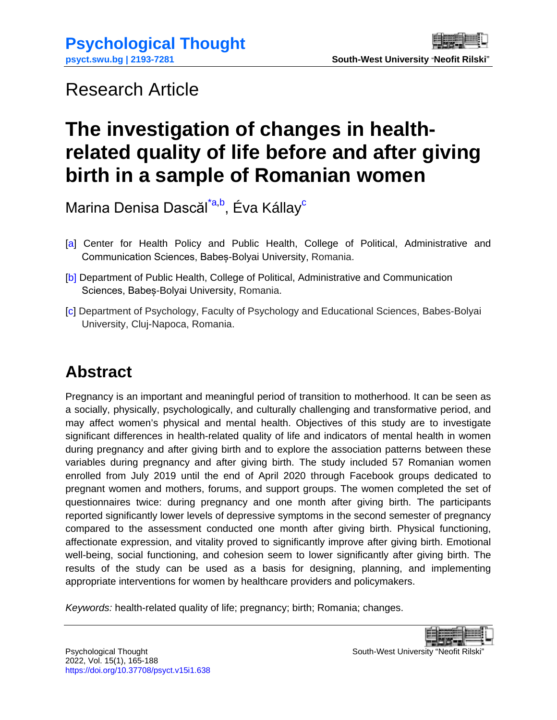# <span id="page-0-0"></span>Research Article

# **The investigation of changes in healthrelated quality of life before and after giving birth in a sample of Romanian women**

Marina Denisa Dascăl<sup>[\\*a,](#page-23-0)b</sup>, [Éva Kállay](http://psychology.psiedu.ubbcluj.ro/ro/despre-noi/membri/cadre-didactice/14-lectori/48-lect-univ-dr-eva-kallay)<sup>[c](http://psychology.psiedu.ubbcluj.ro/ro/despre-noi/membri/cadre-didactice/14-lectori/48-lect-univ-dr-eva-kallay)</sup>

- [a] Center for Health Policy and Public Health, College of Political, Administrative and Communication Sciences, Babeș-Bolyai University, Romania.
- [b] Department of Public Health, College of Political, Administrative and Communication Sciences, Babeș-Bolyai University, Romania.
- [c] Department of Psychology, Faculty of Psychology and Educational Sciences, Babes-Bolyai University, Cluj-Napoca, Romania.

# **Abstract**

Pregnancy is an important and meaningful period of transition to motherhood. It can be seen as a socially, physically, psychologically, and culturally challenging and transformative period, and may affect women's physical and mental health. Objectives of this study are to investigate significant differences in health-related quality of life and indicators of mental health in women during pregnancy and after giving birth and to explore the association patterns between these variables during pregnancy and after giving birth. The study included 57 Romanian women enrolled from July 2019 until the end of April 2020 through Facebook groups dedicated to pregnant women and mothers, forums, and support groups. The women completed the set of questionnaires twice: during pregnancy and one month after giving birth. The participants reported significantly lower levels of depressive symptoms in the second semester of pregnancy compared to the assessment conducted one month after giving birth. Physical functioning, affectionate expression, and vitality proved to significantly improve after giving birth. Emotional well-being, social functioning, and cohesion seem to lower significantly after giving birth. The results of the study can be used as a basis for designing, planning, and implementing appropriate interventions for women by healthcare providers and policymakers.

*Keywords:* health-related quality of life; pregnancy; birth; Romania; changes.

Psychological Thought **South-West University "Neofit Rilski**" South-West University "Neofit Rilski"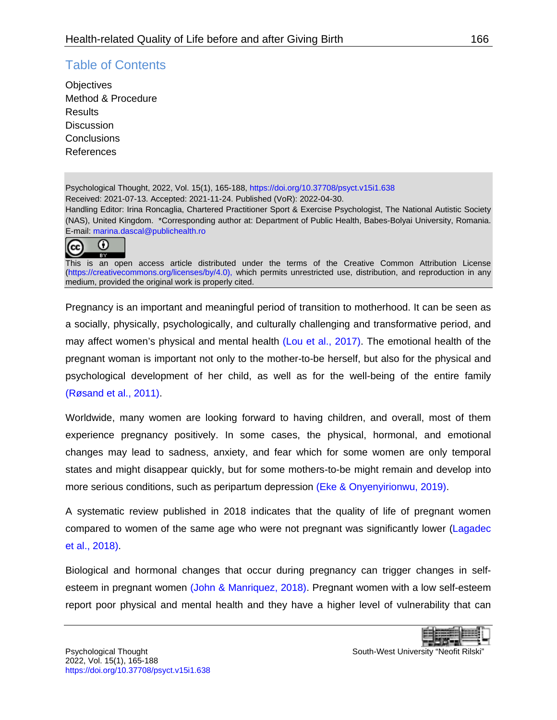### Table of Contents

**[Objectives](#page-3-0)** [Method & Procedure](#page-4-0) **[Results](#page-6-0) [Discussion](#page-13-0) [Conclusions](#page-16-0)** [References](#page-17-0)

Psychological Thought, 2022, Vol. 15(1), 165-188[, https://doi.org/10.37708/psyct.v15i1.638](https://doi.org/10.37708/psyct.v15i1.638) Received: 2021-07-13. Accepted: 2021-11-24. Published (VoR): 2022-04-30. Handling Editor: Irina Roncaglia, Chartered Practitioner Sport & Exercise Psychologist, The National Autistic Society (NAS), United Kingdom. \*Corresponding author at: Department of Public Health, Babes-Bolyai University, Romania. E-mail: [marina.dascal@publichealth.ro](mailto:marina.dascal@publichealth.ro)



This is an open access article distributed under the terms of the Creative Common Attribution License [\(https://creativecommons.org/licenses/by/4.0\)](https://creativecommons.org/licenses/by/4.0), which permits unrestricted use, distribution, and reproduction in any medium, provided the original work is properly cited.

Pregnancy is an important and meaningful period of transition to motherhood. It can be seen as a socially, physically, psychologically, and culturally challenging and transformative period, and may affect women's physical and mental health [\(Lou et al., 2017\).](#page-20-0) The emotional health of the pregnant woman is important not only to the mother-to-be herself, but also for the physical and psychological development of her child, as well as for the well-being of the entire family [\(Røsand et al., 2011\).](#page-21-0)

Worldwide, many women are looking forward to having children, and overall, most of them experience pregnancy positively. In some cases, the physical, hormonal, and emotional changes may lead to sadness, anxiety, and fear which for some women are only temporal states and might disappear quickly, but for some mothers-to-be might remain and develop into more serious conditions, such as peripartum depression [\(Eke & Onyenyirionwu, 2019\).](#page-18-0)

A systematic review published in 2018 indicates that the quality of life of pregnant women compared to women of the same age who were not pregnant was significantly lower [\(Lagadec](#page-19-0)  [et al., 2018\).](#page-19-0)

Biological and hormonal changes that occur during pregnancy can trigger changes in selfesteem in pregnant women [\(John & Manriquez, 2018\).](#page-19-1) Pregnant women with a low self-esteem report poor physical and mental health and they have a higher level of vulnerability that can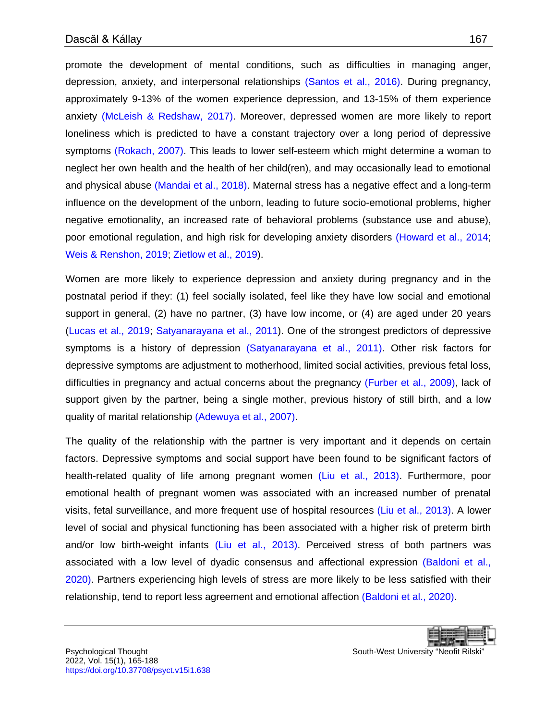promote the development of mental conditions, such as difficulties in managing anger, depression, anxiety, and interpersonal relationships [\(Santos et al., 2016\).](#page-21-1) During pregnancy, approximately 9-13% of the women experience depression, and 13-15% of them experience anxiety [\(McLeish & Redshaw, 2017\).](#page-20-1) Moreover, depressed women are more likely to report loneliness which is predicted to have a constant trajectory over a long period of depressive symptoms [\(Rokach, 2007\).](#page-21-2) This leads to lower self-esteem which might determine a woman to neglect her own health and the health of her child(ren), and may occasionally lead to emotional and physical abuse [\(Mandai et al., 2018\).](#page-20-2) Maternal stress has a negative effect and a long-term influence on the development of the unborn, leading to future socio-emotional problems, higher negative emotionality, an increased rate of behavioral problems (substance use and abuse), poor emotional regulation, and high risk for developing anxiety disorders [\(Howard et al., 2014;](#page-19-2) [Weis & Renshon, 2019;](#page-22-0) [Zietlow et al., 2019\)](#page-22-1).

Women are more likely to experience depression and anxiety during pregnancy and in the postnatal period if they: (1) feel socially isolated, feel like they have low social and emotional support in general, (2) have no partner, (3) have low income, or (4) are aged under 20 years [\(Lucas et al., 2019;](#page-20-3) [Satyanarayana et al., 2011\)](#page-21-3). One of the strongest predictors of depressive symptoms is a history of depression [\(Satyanarayana et al., 2011\).](#page-21-3) Other risk factors for depressive symptoms are adjustment to motherhood, limited social activities, previous fetal loss, difficulties in pregnancy and actual concerns about the pregnancy [\(Furber et al., 2009\),](#page-18-1) lack of support given by the partner, being a single mother, previous history of still birth, and a low quality of marital relationship [\(Adewuya et al., 2007\).](#page-17-1)

The quality of the relationship with the partner is very important and it depends on certain factors. Depressive symptoms and social support have been found to be significant factors of health-related quality of life among pregnant women [\(Liu et al., 2013\).](#page-20-4) Furthermore, poor emotional health of pregnant women was associated with an increased number of prenatal visits, fetal surveillance, and more frequent use of hospital resources [\(Liu et al., 2013\).](#page-20-4) A lower level of social and physical functioning has been associated with a higher risk of preterm birth and/or low birth-weight infants [\(Liu et al., 2013\).](#page-20-4) Perceived stress of both partners was associated with a low level of dyadic consensus and affectional expression [\(Baldoni et al.,](#page-17-2)  2020). Partners experiencing high levels of stress are more likely to be less satisfied with their relationship, tend to report less agreement and emotional affection [\(Baldoni et al., 2020\).](#page-17-2)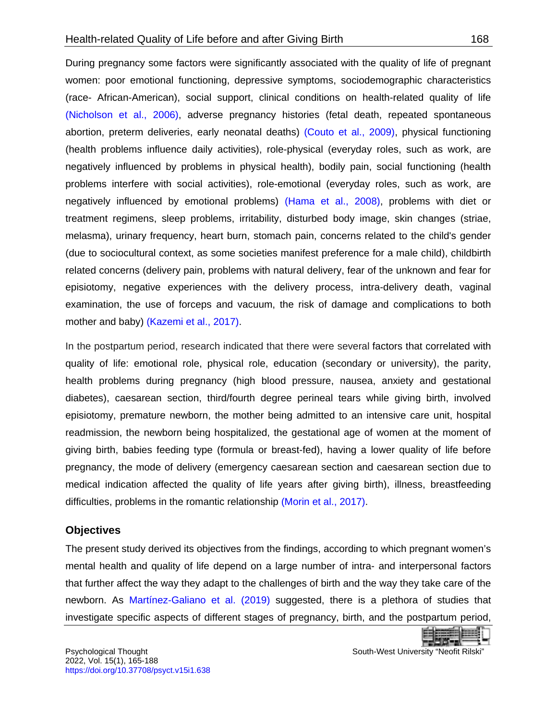During pregnancy some factors were significantly associated with the quality of life of pregnant women: poor emotional functioning, depressive symptoms, sociodemographic characteristics (race- African-American), social support, clinical conditions on health-related quality of life [\(Nicholson et al., 2006\),](#page-20-5) adverse pregnancy histories (fetal death, repeated spontaneous abortion, preterm deliveries, early neonatal deaths) [\(Couto et al., 2009\),](#page-18-2) physical functioning (health problems influence daily activities), role-physical (everyday roles, such as work, are negatively influenced by problems in physical health), bodily pain, social functioning (health problems interfere with social activities), role-emotional (everyday roles, such as work, are negatively influenced by emotional problems) [\(Hama et al., 2008\),](#page-18-3) problems with diet or treatment regimens, sleep problems, irritability, disturbed body image, skin changes (striae, melasma), urinary frequency, heart burn, stomach pain, concerns related to the child's gender (due to sociocultural context, as some societies manifest preference for a male child), childbirth related concerns (delivery pain, problems with natural delivery, fear of the unknown and fear for episiotomy, negative experiences with the delivery process, intra-delivery death, vaginal examination, the use of forceps and vacuum, the risk of damage and complications to both mother and baby) [\(Kazemi et al., 2017\).](#page-19-3)

In the postpartum period, research indicated that there were several factors that correlated with quality of life: emotional role, physical role, education (secondary or university), the parity, health problems during pregnancy (high blood pressure, nausea, anxiety and gestational diabetes), caesarean section, third/fourth degree perineal tears while giving birth, involved episiotomy, premature newborn, the mother being admitted to an intensive care unit, hospital readmission, the newborn being hospitalized, the gestational age of women at the moment of giving birth, babies feeding type (formula or breast-fed), having a lower quality of life before pregnancy, the mode of delivery (emergency caesarean section and caesarean section due to medical indication affected the quality of life years after giving birth), illness, breastfeeding difficulties, problems in the romantic relationship [\(Morin et al., 2017\).](#page-20-6)

#### <span id="page-3-0"></span>**Objectives**

The present study derived its objectives from the findings, according to which pregnant women's mental health and quality of life depend on a large number of intra- and interpersonal factors that further affect the way they adapt to the challenges of birth and the way they take care of the newborn. As [Martínez-Galiano](#page-20-7) et al. (2019) suggested, there is a plethora of studies that investigate specific aspects of different stages of pregnancy, birth, and the postpartum period,

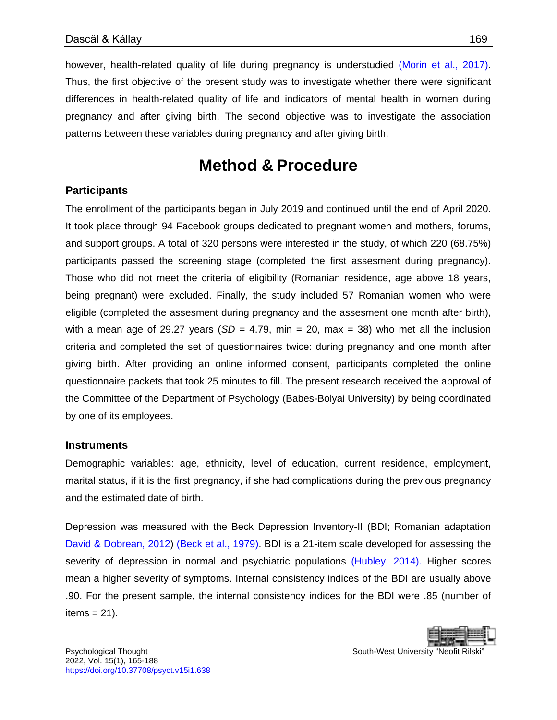however, health-related quality of life during pregnancy is understudied [\(Morin et al., 2017\).](#page-20-6) Thus, the first objective of the present study was to investigate whether there were significant differences in health-related quality of life and indicators of mental health in women during pregnancy and after giving birth. The second objective was to investigate the association patterns between these variables during pregnancy and after giving birth.

## **Method & Procedure**

#### <span id="page-4-0"></span>**Participants**

The enrollment of the participants began in July 2019 and continued until the end of April 2020. It took place through 94 Facebook groups dedicated to pregnant women and mothers, forums, and support groups. A total of 320 persons were interested in the study, of which 220 (68.75%) participants passed the screening stage (completed the first assesment during pregnancy). Those who did not meet the criteria of eligibility (Romanian residence, age above 18 years, being pregnant) were excluded. Finally, the study included 57 Romanian women who were eligible (completed the assesment during pregnancy and the assesment one month after birth), with a mean age of 29.27 years  $(SD = 4.79, \text{ min} = 20, \text{ max} = 38)$  who met all the inclusion criteria and completed the set of questionnaires twice: during pregnancy and one month after giving birth. After providing an online informed consent, participants completed the online questionnaire packets that took 25 minutes to fill. The present research received the approval of the Committee of the Department of Psychology (Babes-Bolyai University) by being coordinated by one of its employees.

#### **Instruments**

Demographic variables: age, ethnicity, level of education, current residence, employment, marital status, if it is the first pregnancy, if she had complications during the previous pregnancy and the estimated date of birth.

Depression was measured with the Beck Depression Inventory-II (BDI; Romanian adaptation [David & Dobrean, 2012\)](#page-18-4) [\(Beck et al., 1979\).](#page-17-3) BDI is a 21-item scale developed for assessing the severity of depression in normal and psychiatric populations [\(Hubley, 2014\).](#page-19-4) Higher scores mean a higher severity of symptoms. Internal consistency indices of the BDI are usually above .90. For the present sample, the internal consistency indices for the BDI were .85 (number of items  $= 21$ ).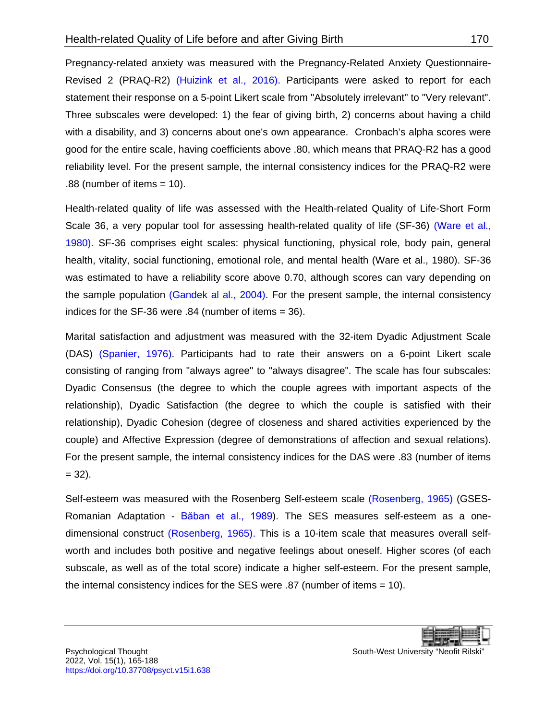Pregnancy-related anxiety was measured with the Pregnancy-Related Anxiety Questionnaire-Revised 2 (PRAQ-R2) [\(Huizink et al., 2016\).](#page-19-5) Participants were asked to report for each statement their response on a 5-point Likert scale from "Absolutely irrelevant" to "Very relevant". Three subscales were developed: 1) the fear of giving birth, 2) concerns about having a child with a disability, and 3) concerns about one's own appearance. Cronbach's alpha scores were good for the entire scale, having coefficients above .80, which means that PRAQ-R2 has a good reliability level. For the present sample, the internal consistency indices for the PRAQ-R2 were .88 (number of items = 10).

Health-related quality of life was assessed with the Health-related Quality of Life-Short Form Scale 36, a very popular tool for assessing health-related quality of life (SF-36) [\(Ware et al.,](#page-22-2)  1980). SF-36 comprises eight scales: physical functioning, physical role, body pain, general health, vitality, social functioning, emotional role, and mental health (Ware et al., 1980). SF-36 was estimated to have a reliability score above 0.70, although scores can vary depending on the sample population [\(Gandek al al., 2004\).](#page-18-5) For the present sample, the internal consistency indices for the SF-36 were .84 (number of items = 36).

Marital satisfaction and adjustment was measured with the 32-item Dyadic Adjustment Scale (DAS) [\(Spanier, 1976\).](#page-21-4) Participants had to rate their answers on a 6-point Likert scale consisting of ranging from "always agree" to "always disagree". The scale has four subscales: Dyadic Consensus (the degree to which the couple agrees with important aspects of the relationship), Dyadic Satisfaction (the degree to which the couple is satisfied with their relationship), Dyadic Cohesion (degree of closeness and shared activities experienced by the couple) and Affective Expression (degree of demonstrations of affection and sexual relations). For the present sample, the internal consistency indices for the DAS were .83 (number of items  $= 32$ ).

Self-esteem was measured with the Rosenberg Self-esteem scale [\(Rosenberg, 1965\)](#page-21-5) (GSES-Romanian Adaptation - [Băban et al., 1989](#page-17-4)). The SES measures self-esteem as a onedimensional construct [\(Rosenberg, 1965\).](#page-21-5) This is a 10-item scale that measures overall selfworth and includes both positive and negative feelings about oneself. Higher scores (of each subscale, as well as of the total score) indicate a higher self-esteem. For the present sample, the internal consistency indices for the SES were .87 (number of items = 10).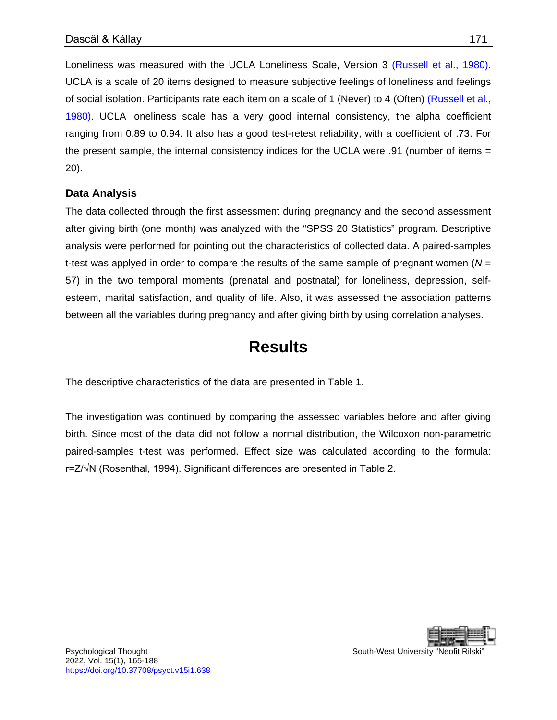Loneliness was measured with the UCLA Loneliness Scale, Version 3 [\(Russell et al., 1980\).](#page-21-6) UCLA is a scale of 20 items designed to measure subjective feelings of loneliness and feelings of social isolation. Participants rate each item on a scale of 1 (Never) to 4 (Often) [\(Russell et al.,](#page-21-6)  1980). UCLA loneliness scale has a very good internal consistency, the alpha coefficient ranging from 0.89 to 0.94. It also has a good test-retest reliability, with a coefficient of .73. For the present sample, the internal consistency indices for the UCLA were .91 (number of items  $=$ 20).

#### **Data Analysis**

The data collected through the first assessment during pregnancy and the second assessment after giving birth (one month) was analyzed with the "SPSS 20 Statistics" program. Descriptive analysis were performed for pointing out the characteristics of collected data. A paired-samples t-test was applyed in order to compare the results of the same sample of pregnant women (*N* = 57) in the two temporal moments (prenatal and postnatal) for loneliness, depression, selfesteem, marital satisfaction, and quality of life. Also, it was assessed the association patterns between all the variables during pregnancy and after giving birth by using correlation analyses.

# **Results**

<span id="page-6-0"></span>The descriptive characteristics of the data are presented in Table 1.

The investigation was continued by comparing the assessed variables before and after giving birth. Since most of the data did not follow a normal distribution, the Wilcoxon non-parametric paired-samples t-test was performed. Effect size was calculated according to the formula: r=Z/√N (Rosenthal, 1994). Significant differences are presented in Table 2.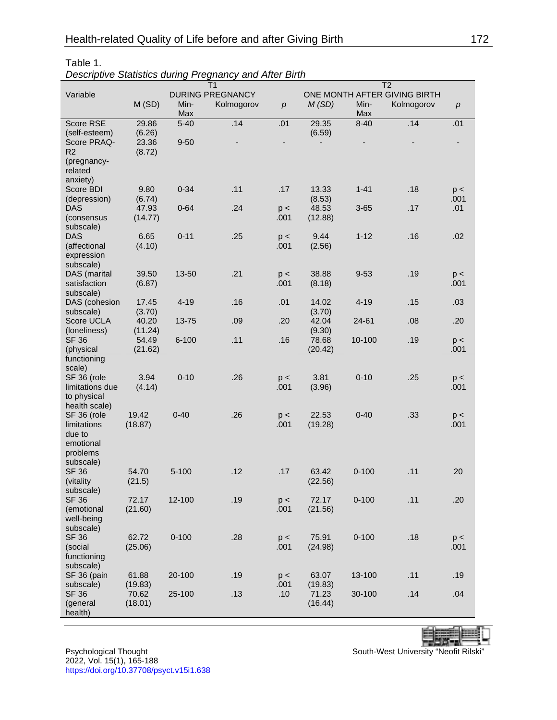|                 |                         |           | T <sub>1</sub> |             | T <sub>2</sub>               |           |            |                  |  |  |  |
|-----------------|-------------------------|-----------|----------------|-------------|------------------------------|-----------|------------|------------------|--|--|--|
| Variable        | <b>DURING PREGNANCY</b> |           |                |             | ONE MONTH AFTER GIVING BIRTH |           |            |                  |  |  |  |
|                 | M(SD)                   | Min-      | Kolmogorov     | p           | M(SD)                        | Min-      | Kolmogorov | $\boldsymbol{p}$ |  |  |  |
|                 |                         | Max       |                |             |                              | Max       |            |                  |  |  |  |
| Score RSE       | 29.86                   | $5 - 40$  | .14            | .01         | 29.35                        | $8 - 40$  | .14        | .01              |  |  |  |
| (self-esteem)   | (6.26)                  |           |                |             | (6.59)                       |           |            |                  |  |  |  |
| Score PRAQ-     | 23.36                   | $9 - 50$  |                |             |                              |           |            |                  |  |  |  |
| R <sub>2</sub>  | (8.72)                  |           |                |             |                              |           |            |                  |  |  |  |
| (pregnancy-     |                         |           |                |             |                              |           |            |                  |  |  |  |
| related         |                         |           |                |             |                              |           |            |                  |  |  |  |
| anxiety)        |                         |           |                |             |                              |           |            |                  |  |  |  |
| Score BDI       | 9.80                    | $0 - 34$  | .11            | .17         | 13.33                        | $1 - 41$  | .18        | p <              |  |  |  |
| (depression)    | (6.74)                  |           |                |             | (8.53)                       |           |            | .001             |  |  |  |
| <b>DAS</b>      | 47.93                   | $0 - 64$  | .24            | p <         | 48.53                        | $3 - 65$  | .17        | .01              |  |  |  |
| (consensus      | (14.77)                 |           |                | .001        | (12.88)                      |           |            |                  |  |  |  |
| subscale)       |                         |           |                |             |                              |           |            |                  |  |  |  |
| <b>DAS</b>      | 6.65                    | $0 - 11$  | .25            |             | 9.44                         | $1 - 12$  | .16        | .02              |  |  |  |
| (affectional    | (4.10)                  |           |                | p <<br>.001 | (2.56)                       |           |            |                  |  |  |  |
|                 |                         |           |                |             |                              |           |            |                  |  |  |  |
| expression      |                         |           |                |             |                              |           |            |                  |  |  |  |
| subscale)       | 39.50                   | 13-50     | .21            |             | 38.88                        | $9 - 53$  | .19        |                  |  |  |  |
| DAS (marital    |                         |           |                | p <         |                              |           |            | p <              |  |  |  |
| satisfaction    | (6.87)                  |           |                | .001        | (8.18)                       |           |            | .001             |  |  |  |
| subscale)       |                         |           |                |             | 14.02                        | $4 - 19$  |            |                  |  |  |  |
| DAS (cohesion   | 17.45                   | $4 - 19$  | .16            | .01         |                              |           | .15        | .03              |  |  |  |
| subscale)       | (3.70)                  |           |                |             | (3.70)                       |           |            |                  |  |  |  |
| Score UCLA      | 40.20                   | 13-75     | .09            | .20         | 42.04                        | 24-61     | .08        | .20              |  |  |  |
| (loneliness)    | (11.24)                 |           |                |             | (9.30)                       |           |            |                  |  |  |  |
| <b>SF 36</b>    | 54.49                   | $6 - 100$ | .11            | .16         | 78.68                        | 10-100    | .19        | p <              |  |  |  |
| (physical       | (21.62)                 |           |                |             | (20.42)                      |           |            | .001             |  |  |  |
| functioning     |                         |           |                |             |                              |           |            |                  |  |  |  |
| scale)          |                         |           |                |             |                              |           |            |                  |  |  |  |
| SF 36 (role     | 3.94                    | $0 - 10$  | .26            | p <         | 3.81                         | $0 - 10$  | .25        | p <              |  |  |  |
| limitations due | (4.14)                  |           |                | .001        | (3.96)                       |           |            | .001             |  |  |  |
| to physical     |                         |           |                |             |                              |           |            |                  |  |  |  |
| health scale)   |                         |           |                |             |                              |           |            |                  |  |  |  |
| SF 36 (role     | 19.42                   | $0 - 40$  | .26            | p <         | 22.53                        | $0 - 40$  | .33        | p <              |  |  |  |
| limitations     | (18.87)                 |           |                | .001        | (19.28)                      |           |            | .001             |  |  |  |
| due to          |                         |           |                |             |                              |           |            |                  |  |  |  |
| emotional       |                         |           |                |             |                              |           |            |                  |  |  |  |
| problems        |                         |           |                |             |                              |           |            |                  |  |  |  |
| subscale)       |                         |           |                |             |                              |           |            |                  |  |  |  |
| <b>SF 36</b>    | 54.70                   | $5 - 100$ | .12            | .17         | 63.42                        | $0 - 100$ | .11        | 20               |  |  |  |
| (vitality       | (21.5)                  |           |                |             | (22.56)                      |           |            |                  |  |  |  |
| subscale)       |                         |           |                |             |                              |           |            |                  |  |  |  |
| <b>SF 36</b>    | 72.17                   | 12-100    | .19            | p <         | 72.17                        | $0 - 100$ | .11        | .20              |  |  |  |
| (emotional      | (21.60)                 |           |                | .001        | (21.56)                      |           |            |                  |  |  |  |
| well-being      |                         |           |                |             |                              |           |            |                  |  |  |  |
| subscale)       |                         |           |                |             |                              |           |            |                  |  |  |  |
| <b>SF 36</b>    | 62.72                   | $0 - 100$ | .28            | p <         | 75.91                        | $0 - 100$ | .18        | p <              |  |  |  |
| (social         | (25.06)                 |           |                | .001        | (24.98)                      |           |            | .001             |  |  |  |
| functioning     |                         |           |                |             |                              |           |            |                  |  |  |  |
| subscale)       |                         |           |                |             |                              |           |            |                  |  |  |  |
| SF 36 (pain     | 61.88                   | 20-100    | .19            | p <         | 63.07                        | 13-100    | .11        | .19              |  |  |  |
| subscale)       | (19.83)                 |           |                | .001        | (19.83)                      |           |            |                  |  |  |  |
| <b>SF 36</b>    | 70.62                   | 25-100    | .13            | .10         | 71.23                        | 30-100    | .14        | .04              |  |  |  |
| (general        | (18.01)                 |           |                |             | (16.44)                      |           |            |                  |  |  |  |
| health)         |                         |           |                |             |                              |           |            |                  |  |  |  |

#### Table 1.

*Descriptive Statistics during Pregnancy and After Birth*

2022, Vol. 15(1), 165-188 <https://doi.org/10.37708/psyct.v15i1.638>

Psychological Thought South-West University "Neofit Rilski"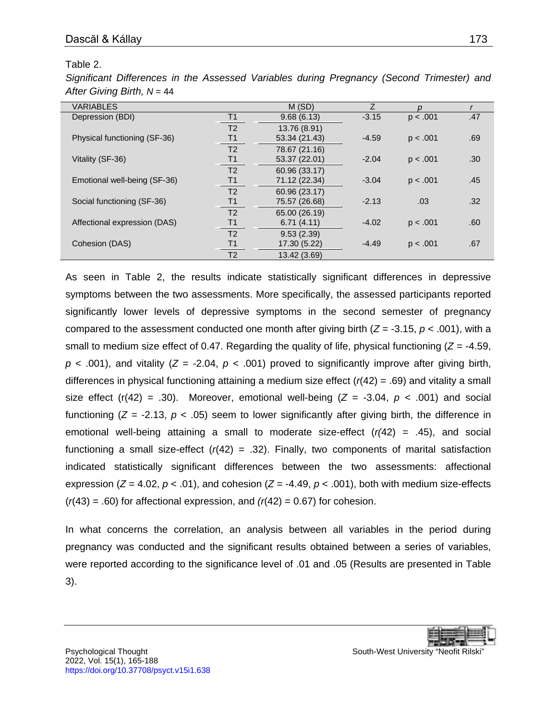#### Table 2.

*Significant Differences in the Assessed Variables during Pregnancy (Second Trimester) and*  After Giving Birth, N = 44

| <b>VARIABLES</b>             |                | M(SD)         |         | n        |     |
|------------------------------|----------------|---------------|---------|----------|-----|
| Depression (BDI)             | T <sub>1</sub> | 9.68(6.13)    | $-3.15$ | p < .001 | .47 |
|                              | T <sub>2</sub> | 13.76 (8.91)  |         |          |     |
| Physical functioning (SF-36) | T1             | 53.34 (21.43) | $-4.59$ | p < .001 | .69 |
|                              | T <sub>2</sub> | 78.67 (21.16) |         |          |     |
| Vitality (SF-36)             | T1             | 53.37 (22.01) | $-2.04$ | p < .001 | .30 |
|                              | T <sub>2</sub> | 60.96 (33.17) |         |          |     |
| Emotional well-being (SF-36) | Τ1             | 71.12 (22.34) | $-3.04$ | p < .001 | .45 |
|                              | T <sub>2</sub> | 60.96 (23.17) |         |          |     |
| Social functioning (SF-36)   | Τ1             | 75.57 (26.68) | $-2.13$ | .03      | .32 |
|                              | T <sub>2</sub> | 65.00 (26.19) |         |          |     |
| Affectional expression (DAS) | T1             | 6.71(4.11)    | $-4.02$ | p < .001 | .60 |
|                              | T <sub>2</sub> | 9.53(2.39)    |         |          |     |
| Cohesion (DAS)               | Τ1             | 17.30 (5.22)  | $-4.49$ | p < .001 | .67 |
|                              | T <sub>2</sub> | 13.42 (3.69)  |         |          |     |

As seen in Table 2, the results indicate statistically significant differences in depressive symptoms between the two assessments. More specifically, the assessed participants reported significantly lower levels of depressive symptoms in the second semester of pregnancy compared to the assessment conducted one month after giving birth (*Z* = -3.15, *p* < .001), with a small to medium size effect of 0.47. Regarding the quality of life, physical functioning (*Z* = -4.59,  $p$  < .001), and vitality ( $Z = -2.04$ ,  $p$  < .001) proved to significantly improve after giving birth, differences in physical functioning attaining a medium size effect (*r*(42) = .69) and vitality a small size effect (r(42) = .30). Moreover, emotional well-being ( $Z = -3.04$ ,  $p < .001$ ) and social functioning  $(Z = -2.13, p < .05)$  seem to lower significantly after giving birth, the difference in emotional well-being attaining a small to moderate size-effect (*r(*42) = .45), and social functioning a small size-effect  $(r(42) = .32)$ . Finally, two components of marital satisfaction indicated statistically significant differences between the two assessments: affectional expression ( $Z = 4.02$ ,  $p < .01$ ), and cohesion ( $Z = -4.49$ ,  $p < .001$ ), both with medium size-effects  $(r(43) = .60)$  for affectional expression, and  $(r(42) = 0.67)$  for cohesion.

In what concerns the correlation, an analysis between all variables in the period during pregnancy was conducted and the significant results obtained between a series of variables, were reported according to the significance level of .01 and .05 (Results are presented in Table 3).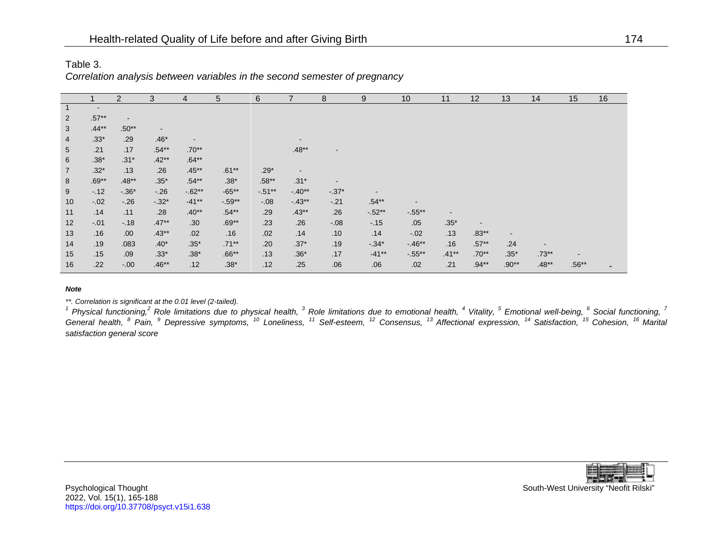| Table 3.                                                                   |
|----------------------------------------------------------------------------|
| Correlation analysis between variables in the second semester of pregnancy |

|                 |                | $\overline{2}$           | 3                        | 4        | 5        | 6        |                          | 8                        | 9         | 10                       | 11                       | 12                       | 13                       | 14                       | 15      | 16 |
|-----------------|----------------|--------------------------|--------------------------|----------|----------|----------|--------------------------|--------------------------|-----------|--------------------------|--------------------------|--------------------------|--------------------------|--------------------------|---------|----|
| $\overline{1}$  | $\blacksquare$ |                          |                          |          |          |          |                          |                          |           |                          |                          |                          |                          |                          |         |    |
| $\overline{2}$  | $.57**$        | $\overline{\phantom{a}}$ |                          |          |          |          |                          |                          |           |                          |                          |                          |                          |                          |         |    |
| 3               | $.44**$        | $.50**$                  | $\overline{\phantom{a}}$ |          |          |          |                          |                          |           |                          |                          |                          |                          |                          |         |    |
| $\overline{4}$  | $.33*$         | .29                      | $.46*$                   | $\sim$   |          |          |                          |                          |           |                          |                          |                          |                          |                          |         |    |
| $5\overline{)}$ | .21            | .17                      | $.54**$                  | $.70**$  |          |          | $.48**$                  | $\overline{\phantom{a}}$ |           |                          |                          |                          |                          |                          |         |    |
| 6               | $.38*$         | $.31*$                   | $.42**$                  | $.64**$  |          |          |                          |                          |           |                          |                          |                          |                          |                          |         |    |
| $\overline{7}$  | $.32*$         | .13                      | .26                      | $.45**$  | $.61**$  | $.29*$   | $\overline{\phantom{a}}$ |                          |           |                          |                          |                          |                          |                          |         |    |
| 8               | $.69**$        | $.48**$                  | $.35*$                   | $.54**$  | $.38*$   | $.58**$  | $.31*$                   | $\blacksquare$           |           |                          |                          |                          |                          |                          |         |    |
| 9               | $-0.12$        | $-0.36*$                 | $-26$                    | $-.62**$ | $-65**$  | $-.51**$ | $-40**$                  | $-.37*$                  |           |                          |                          |                          |                          |                          |         |    |
| 10              | $-.02$         | $-.26$                   | $-.32*$                  | $-41**$  | $-.59**$ | $-0.08$  | $-43**$                  | $-.21$                   | $.54**$   | $\overline{\phantom{a}}$ |                          |                          |                          |                          |         |    |
| 11              | .14            | .11                      | .28                      | $.40**$  | $.54**$  | .29      | $.43**$                  | .26                      | $-0.52**$ | $-0.55**$                | $\overline{\phantom{a}}$ |                          |                          |                          |         |    |
| 12              | $-.01$         | $-0.18$                  | $.47**$                  | .30      | $.69**$  | .23      | .26                      | $-.08$                   | $-15$     | .05                      | $.35*$                   | $\overline{\phantom{a}}$ |                          |                          |         |    |
| 13              | .16            | .00.                     | $.43**$                  | .02      | .16      | .02      | .14                      | .10                      | .14       | $-.02$                   | .13                      | $.83**$                  | $\overline{\phantom{a}}$ |                          |         |    |
| 14              | .19            | .083                     | $.40*$                   | $.35*$   | $.71***$ | .20      | $.37*$                   | .19                      | $-0.34*$  | $-.46**$                 | .16                      | $.57**$                  | .24                      | $\overline{\phantom{a}}$ |         |    |
| 15              | .15            | .09                      | $.33*$                   | $.38*$   | $.66**$  | .13      | $.36*$                   | .17                      | $-41**$   | $-.55***$                | $.41***$                 | $.70**$                  | $.35*$                   | $.73**$                  |         |    |
| 16              | .22            | $-.00$                   | $.46**$                  | .12      | .38 $*$  | .12      | .25                      | .06                      | .06       | .02                      | .21                      | $.94**$                  | $.90**$                  | $.48**$                  | $.56**$ |    |

#### *Note*

*\*\*. Correlation is significant at the 0.01 level (2-tailed).*

<sup>1</sup> Physical functioning,<sup>2</sup> Role limitations due to physical health, <sup>3</sup> Role limitations due to emotional health, <sup>4</sup> Vitality, <sup>5</sup> Emotional well-being, <sup>6</sup> Social functioning, <sup>7</sup> General health, <sup>8</sup> Pain, <sup>9</sup> Depressive symptoms, <sup>10</sup> Loneliness, <sup>11</sup> Self-esteem, <sup>12</sup> Consensus, <sup>13</sup> Affectional expression, <sup>14</sup> Satisfaction, <sup>15</sup> Cohesion, <sup>16</sup> Marital *satisfaction general score*

Psychological Thought **South-West University "Neofit Rilski**" South-West University "Neofit Rilski" 2022, Vol. 15(1), 165-188 <https://doi.org/10.37708/psyct.v15i1.638>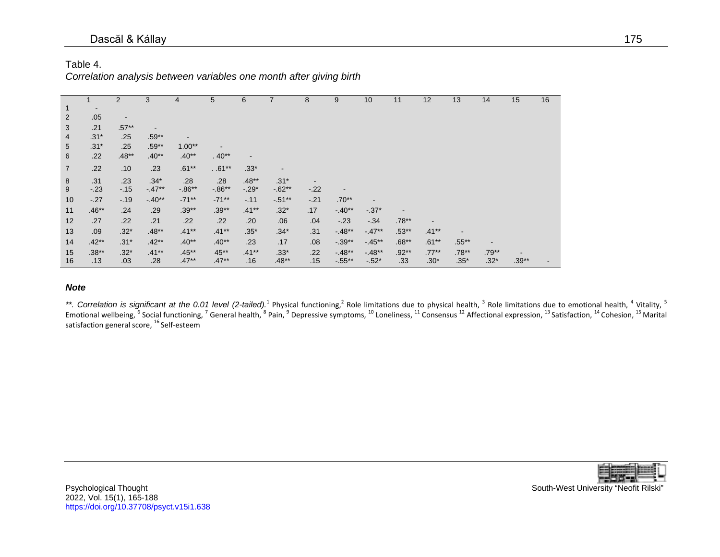#### Dascăl & Kállay 175

#### Table 4.

*Correlation analysis between variables one month after giving birth*

|                |                          | $\overline{2}$           | 3        | 4         | $5\overline{)}$ | 6       |           | 8      | 9                        | 10      | 11                       | 12       | 13       | 14      | 15      | 16 |
|----------------|--------------------------|--------------------------|----------|-----------|-----------------|---------|-----------|--------|--------------------------|---------|--------------------------|----------|----------|---------|---------|----|
| 1              | $\overline{\phantom{a}}$ |                          |          |           |                 |         |           |        |                          |         |                          |          |          |         |         |    |
| $\overline{2}$ | .05                      | $\overline{\phantom{a}}$ |          |           |                 |         |           |        |                          |         |                          |          |          |         |         |    |
| 3              | .21                      | $.57**$                  |          |           |                 |         |           |        |                          |         |                          |          |          |         |         |    |
| 4              | $.31*$                   | .25                      | $.59**$  |           |                 |         |           |        |                          |         |                          |          |          |         |         |    |
| 5              | $.31*$                   | .25                      | $.59**$  | $1.00**$  |                 |         |           |        |                          |         |                          |          |          |         |         |    |
| 6              | .22                      | $.48**$                  | $.40**$  | $.40**$   | $.40**$         |         |           |        |                          |         |                          |          |          |         |         |    |
| $\overline{7}$ | .22                      | .10                      | .23      | $.61***$  | $.61**$         | $.33*$  |           |        |                          |         |                          |          |          |         |         |    |
| 8              | .31                      | .23                      | $.34*$   | .28       | .28             | $.48**$ | $.31*$    |        |                          |         |                          |          |          |         |         |    |
| 9              | $-.23$                   | $-15$                    | $-47**$  | $-0.86**$ | $-.86**$        | $-.29*$ | $-0.62**$ | $-.22$ | $\overline{\phantom{a}}$ |         |                          |          |          |         |         |    |
| 10             | $-.27$                   | $-.19$                   | $-40**$  | $-71**$   | $-71**$         | $-.11$  | $-51**$   | $-21$  | $.70**$                  |         |                          |          |          |         |         |    |
| 11             | $.46**$                  | .24                      | .29      | $.39**$   | $.39**$         | $.41**$ | $.32*$    | .17    | $-40**$                  | $-.37*$ | $\overline{\phantom{a}}$ |          |          |         |         |    |
| 12             | .27                      | .22                      | .21      | .22       | .22             | .20     | .06       | .04    | $-.23$                   | $-.34$  | $.78**$                  |          |          |         |         |    |
| 13             | .09                      | $.32*$                   | $.48**$  | $.41**$   | $.41***$        | $.35*$  | $.34*$    | .31    | $-48**$                  | $-47**$ | $.53**$                  | $.41***$ |          |         |         |    |
| 14             | $.42**$                  | $.31*$                   | $.42**$  | $.40**$   | $.40**$         | .23     | .17       | .08    | $-.39**$                 | $-45**$ | $.68**$                  | $.61***$ | $.55***$ |         |         |    |
| 15             | $.38**$                  | $.32*$                   | $.41***$ | $.45**$   | 45**            | $.41**$ | $.33*$    | .22    | $-48**$                  | $-48**$ | $.92**$                  | $.77***$ | $.78**$  | $.79**$ |         |    |
| 16             | .13                      | .03                      | .28      | $.47**$   | $.47**$         | .16     | $.48**$   | .15    | $-0.55**$                | $-.52*$ | .33                      | $.30*$   | $.35*$   | $.32*$  | $.39**$ |    |

#### *Note*

\*\*. Correlation is significant at the 0.01 level (2-tailed).<sup>1</sup> Physical functioning,<sup>2</sup> Role limitations due to limitations due to emotional health, <sup>4</sup> Vitality, <sup>5</sup> Emotional wellbeing,  $^6$  Social functioning,  $^7$  General health,  $^8$  Pain,  $^9$  Depressive symptoms,  $^{10}$  Loneliness,  $^{11}$  Consensus  $^{12}$  Affectional expression,  $^{13}$  Satisfaction,  $^{14}$  Cohesion,  $^{15}$  Marit satisfaction general score, <sup>16</sup> Self-esteem



Psychological Thought **South-West University "Neofit Rilski**" South-West University "Neofit Rilski" 2022, Vol. 15(1), 165-188 <https://doi.org/10.37708/psyct.v15i1.638>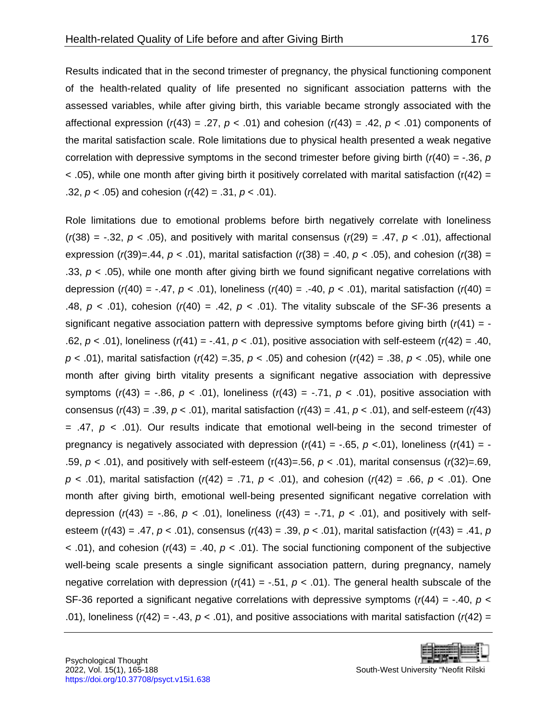Results indicated that in the second trimester of pregnancy, the physical functioning component of the health-related quality of life presented no significant association patterns with the assessed variables, while after giving birth, this variable became strongly associated with the affectional expression  $(r(43) = .27, p < .01)$  and cohesion  $(r(43) = .42, p < .01)$  components of the marital satisfaction scale. Role limitations due to physical health presented a weak negative correlation with depressive symptoms in the second trimester before giving birth  $r/(40) = -0.36$ , *p*  $<$  .05), while one month after giving birth it positively correlated with marital satisfaction (r(42) = .32, *p* < .05) and cohesion (*r*(42) = .31, *p* < .01).

Role limitations due to emotional problems before birth negatively correlate with loneliness  $(r(38) = -.32, p < .05)$ , and positively with marital consensus  $(r(29) = .47, p < .01)$ , affectional expression ( $r(39)$ =.44,  $p < .01$ ), marital satisfaction ( $r(38)$  = .40,  $p < .05$ ), and cohesion ( $r(38)$  = .33, *p* < .05), while one month after giving birth we found significant negative correlations with depression (*r*(40) = -.47, *p* < .01), loneliness (*r*(40) = .-40, *p* < .01), marital satisfaction (*r*(40) = .48,  $p < .01$ ), cohesion ( $r(40) = .42$ ,  $p < .01$ ). The vitality subscale of the SF-36 presents a significant negative association pattern with depressive symptoms before giving birth (*r*(41) = - .62, *p* < .01), loneliness (*r*(41) = -.41, *p* < .01), positive association with self-esteem (*r*(42) = .40, *p* < .01), marital satisfaction (*r*(42) =.35, *p* < .05) and cohesion (*r*(42) = .38, *p* < .05), while one month after giving birth vitality presents a significant negative association with depressive symptoms  $(r(43) = -.86, p < .01)$ , loneliness  $(r(43) = -.71, p < .01)$ , positive association with consensus (*r*(43) = .39, *p* < .01), marital satisfaction (*r*(43) = .41, *p* < .01), and self-esteem (*r(*43)  $=$  .47,  $p <$  .01). Our results indicate that emotional well-being in the second trimester of pregnancy is negatively associated with depression  $(r(41) = -.65, p < .01)$ , loneliness  $(r(41) = -$ .59, *p* < .01), and positively with self-esteem (r(43)=.56, *p* < .01), marital consensus (*r*(32)=.69, *p* < .01), marital satisfaction (*r*(42) = .71, *p* < .01), and cohesion (*r*(42) = .66, *p* < .01). One month after giving birth, emotional well-being presented significant negative correlation with depression  $(r(43) = -0.86, p < 0.01)$ , loneliness  $(r(43) = -0.71, p < 0.01)$ , and positively with selfesteem (*r*(43) = .47, *p* < .01), consensus (*r*(43) = .39, *p* < .01), marital satisfaction (*r*(43) = .41, *p*  $\le$  0.01), and cohesion ( $r(43) = 0.40$ ,  $p \le 0.01$ ). The social functioning component of the subjective well-being scale presents a single significant association pattern, during pregnancy, namely negative correlation with depression  $(r(41) = -.51, p < .01)$ . The general health subscale of the SF-36 reported a significant negative correlations with depressive symptoms (*r*(44) = -.40, *p* < .01), loneliness ( $r(42) = -0.43$ ,  $p < 0.01$ ), and positive associations with marital satisfaction ( $r(42) =$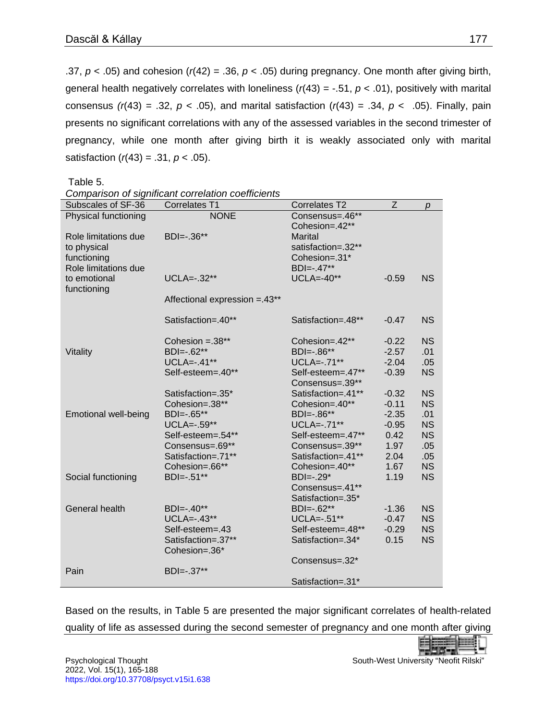.37, *p* < .05) and cohesion (*r*(42) = .36, *p* < .05) during pregnancy. One month after giving birth, general health negatively correlates with loneliness  $(r(43) = -.51, p < .01)$ , positively with marital consensus  $(r(43) = .32, p < .05)$ , and marital satisfaction  $(r(43) = .34, p < .05)$ . Finally, pain presents no significant correlations with any of the assessed variables in the second trimester of pregnancy, while one month after giving birth it is weakly associated only with marital satisfaction (*r*(43) = .31, *p* < .05).

Table 5.

| Subscales of SF-36          | <b>Correlates T1</b>           | Correlates T2      | $\overline{z}$ | p         |
|-----------------------------|--------------------------------|--------------------|----------------|-----------|
| Physical functioning        | <b>NONE</b>                    | Consensus=.46**    |                |           |
|                             |                                | Cohesion=.42**     |                |           |
| Role limitations due        | BDI=-.36**                     | <b>Marital</b>     |                |           |
| to physical                 |                                | satisfaction=.32** |                |           |
| functioning                 |                                | Cohesion=.31*      |                |           |
| Role limitations due        |                                | BDI=-.47**         |                |           |
| to emotional                | UCLA=-.32**                    | $UCLA = -40**$     | $-0.59$        | <b>NS</b> |
| functioning                 |                                |                    |                |           |
|                             | Affectional expression = .43** |                    |                |           |
|                             |                                |                    |                |           |
|                             | Satisfaction=.40**             | Satisfaction=.48** | $-0.47$        | <b>NS</b> |
|                             | Cohesion = $.38***$            | Cohesion=.42**     | $-0.22$        | <b>NS</b> |
| Vitality                    | BDI=-.62**                     | BDI=-.86**         | $-2.57$        | .01       |
|                             | $UCLA = -0.41**$               | UCLA=-.71**        | $-2.04$        | .05       |
|                             | Self-esteem=.40**              | Self-esteem=.47**  | $-0.39$        | <b>NS</b> |
|                             |                                | Consensus=.39**    |                |           |
|                             | Satisfaction=.35*              | Satisfaction=.41** | $-0.32$        | <b>NS</b> |
|                             | Cohesion=.38**                 | Cohesion=.40**     | $-0.11$        | <b>NS</b> |
| <b>Emotional well-being</b> | BDI=-.65**                     | BDI=-.86**         | $-2.35$        | .01       |
|                             | $UCLA = -.59**$                | UCLA=-.71**        | $-0.95$        | <b>NS</b> |
|                             | Self-esteem=.54**              | Self-esteem=.47**  | 0.42           | <b>NS</b> |
|                             | Consensus=.69**                | Consensus=.39**    | 1.97           | .05       |
|                             | Satisfaction=.71**             | Satisfaction=.41** | 2.04           | .05       |
|                             | Cohesion=.66**                 | Cohesion=.40**     | 1.67           | <b>NS</b> |
| Social functioning          | BDI=-.51**                     | $BDI=-.29*$        | 1.19           | <b>NS</b> |
|                             |                                | Consensus=.41**    |                |           |
|                             |                                | Satisfaction=.35*  |                |           |
| General health              | BDI=-.40**                     | BDI=-.62**         | $-1.36$        | <b>NS</b> |
|                             | $UCLA = -0.43**$               | UCLA=-.51**        | $-0.47$        | <b>NS</b> |
|                             | Self-esteem=.43                | Self-esteem=.48**  | $-0.29$        | <b>NS</b> |
|                             | Satisfaction=.37**             | Satisfaction=.34*  | 0.15           | <b>NS</b> |
|                             | Cohesion=.36*                  |                    |                |           |
|                             |                                | Consensus=.32*     |                |           |
| Pain                        | BDI=-.37**                     |                    |                |           |
|                             |                                | Satisfaction=.31*  |                |           |

Based on the results, in Table 5 are presented the major significant correlates of health-related quality of life as assessed during the second semester of pregnancy and one month after giving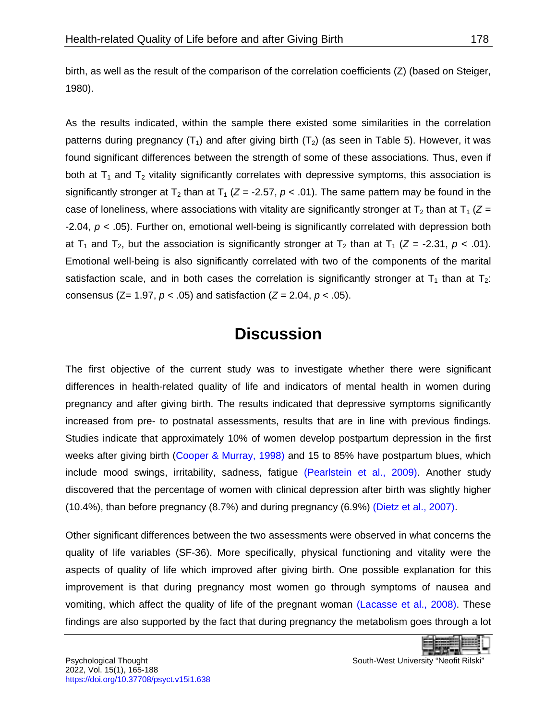birth, as well as the result of the comparison of the correlation coefficients (Z) (based on Steiger, 1980).

As the results indicated, within the sample there existed some similarities in the correlation patterns during pregnancy  $(T_1)$  and after giving birth  $(T_2)$  (as seen in Table 5). However, it was found significant differences between the strength of some of these associations. Thus, even if both at  $T_1$  and  $T_2$  vitality significantly correlates with depressive symptoms, this association is significantly stronger at T<sub>2</sub> than at T<sub>1</sub> ( $Z = -2.57$ ,  $p < .01$ ). The same pattern may be found in the case of loneliness, where associations with vitality are significantly stronger at  $T_2$  than at  $T_1$  ( $Z =$ -2.04, *p* < .05). Further on, emotional well-being is significantly correlated with depression both at T<sub>1</sub> and T<sub>2</sub>, but the association is significantly stronger at T<sub>2</sub> than at T<sub>1</sub> ( $Z = -2.31$ ,  $p < .01$ ). Emotional well-being is also significantly correlated with two of the components of the marital satisfaction scale, and in both cases the correlation is significantly stronger at  $T_1$  than at  $T_2$ : consensus (Z= 1.97, *p* < .05) and satisfaction (*Z* = 2.04, *p* < .05).

## **Discussion**

<span id="page-13-0"></span>The first objective of the current study was to investigate whether there were significant differences in health-related quality of life and indicators of mental health in women during pregnancy and after giving birth. The results indicated that depressive symptoms significantly increased from pre- to postnatal assessments, results that are in line with previous findings. Studies indicate that approximately 10% of women develop postpartum depression in the first weeks after giving birth [\(Cooper & Murray, 1998\)](#page-17-5) and 15 to 85% have postpartum blues, which include mood swings, irritability, sadness, fatigue [\(Pearlstein et al., 2009\).](#page-21-7) Another study discovered that the percentage of women with clinical depression after birth was slightly higher (10.4%), than before pregnancy (8.7%) and during pregnancy (6.9%) [\(Dietz et al., 2007\).](#page-18-6)

Other significant differences between the two assessments were observed in what concerns the quality of life variables (SF-36). More specifically, physical functioning and vitality were the aspects of quality of life which improved after giving birth. One possible explanation for this improvement is that during pregnancy most women go through symptoms of nausea and vomiting, which affect the quality of life of the pregnant woman [\(Lacasse et al., 2008\).](#page-19-6) These findings are also supported by the fact that during pregnancy the metabolism goes through a lot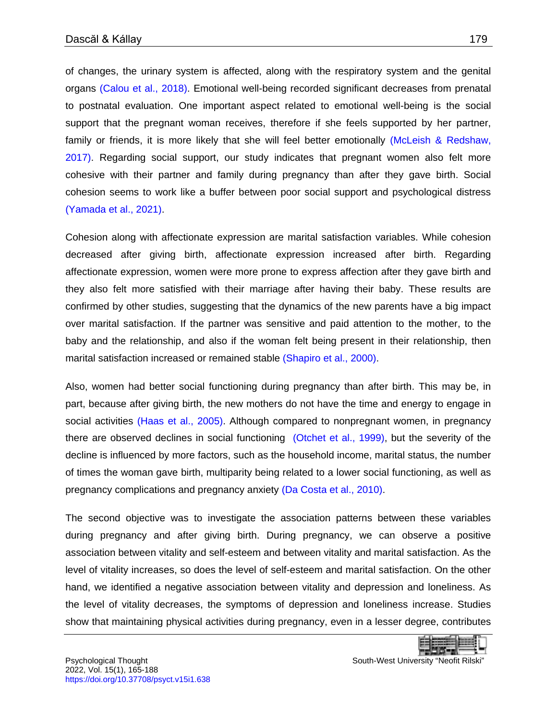of changes, the urinary system is affected, along with the respiratory system and the genital organs [\(Calou et al., 2018\).](#page-17-6) Emotional well-being recorded significant decreases from prenatal to postnatal evaluation. One important aspect related to emotional well-being is the social support that the pregnant woman receives, therefore if she feels supported by her partner, family or friends, it is more likely that she will feel better emotionally [\(McLeish & Redshaw,](#page-20-1)  2017). Regarding social support, our study indicates that pregnant women also felt more cohesive with their partner and family during pregnancy than after they gave birth. Social cohesion seems to work like a buffer between poor social support and psychological distress [\(Yamada et al., 2021\).](#page-22-3)

Cohesion along with affectionate expression are marital satisfaction variables. While cohesion decreased after giving birth, affectionate expression increased after birth. Regarding affectionate expression, women were more prone to express affection after they gave birth and they also felt more satisfied with their marriage after having their baby. These results are confirmed by other studies, suggesting that the dynamics of the new parents have a big impact over marital satisfaction. If the partner was sensitive and paid attention to the mother, to the baby and the relationship, and also if the woman felt being present in their relationship, then marital satisfaction increased or remained stable [\(Shapiro et al., 2000\).](#page-21-8)

Also, women had better social functioning during pregnancy than after birth. This may be, in part, because after giving birth, the new mothers do not have the time and energy to engage in social activities [\(Haas et al., 2005\).](#page-18-7) Although compared to nonpregnant women, in pregnancy there are observed declines in social functioning [\(Otchet et al., 1999\),](#page-20-8) but the severity of the decline is influenced by more factors, such as the household income, marital status, the number of times the woman gave birth, multiparity being related to a lower social functioning, as well as pregnancy complications and pregnancy anxiety [\(Da Costa et al., 2010\).](#page-18-8)

The second objective was to investigate the association patterns between these variables during pregnancy and after giving birth. During pregnancy, we can observe a positive association between vitality and self-esteem and between vitality and marital satisfaction. As the level of vitality increases, so does the level of self-esteem and marital satisfaction. On the other hand, we identified a negative association between vitality and depression and loneliness. As the level of vitality decreases, the symptoms of depression and loneliness increase. Studies show that maintaining physical activities during pregnancy, even in a lesser degree, contributes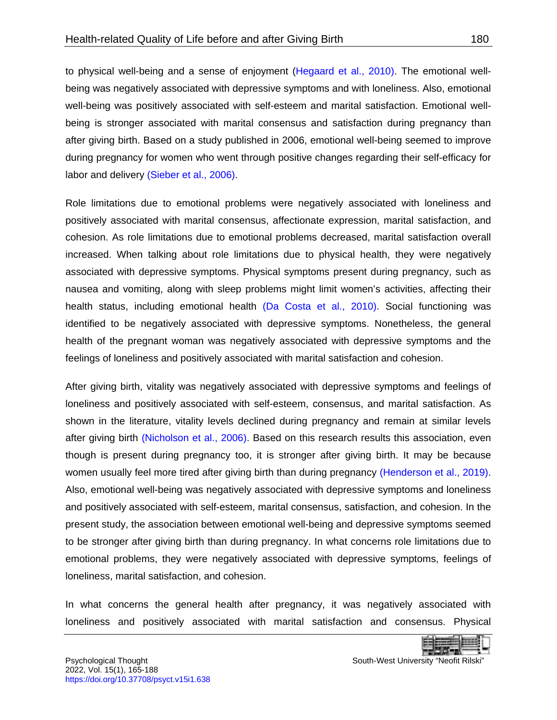to physical well-being and a sense of enjoyment [\(Hegaard et al., 2010\).](#page-19-7) The emotional wellbeing was negatively associated with depressive symptoms and with loneliness. Also, emotional well-being was positively associated with self-esteem and marital satisfaction. Emotional wellbeing is stronger associated with marital consensus and satisfaction during pregnancy than after giving birth. Based on a study published in 2006, emotional well-being seemed to improve during pregnancy for women who went through positive changes regarding their self-efficacy for labor and delivery [\(Sieber et al., 2006\).](#page-21-9)

Role limitations due to emotional problems were negatively associated with loneliness and positively associated with marital consensus, affectionate expression, marital satisfaction, and cohesion. As role limitations due to emotional problems decreased, marital satisfaction overall increased. When talking about role limitations due to physical health, they were negatively associated with depressive symptoms. Physical symptoms present during pregnancy, such as nausea and vomiting, along with sleep problems might limit women's activities, affecting their health status, including emotional health [\(Da Costa et al., 2010\).](#page-18-8) Social functioning was identified to be negatively associated with depressive symptoms. Nonetheless, the general health of the pregnant woman was negatively associated with depressive symptoms and the feelings of loneliness and positively associated with marital satisfaction and cohesion.

After giving birth, vitality was negatively associated with depressive symptoms and feelings of loneliness and positively associated with self-esteem, consensus, and marital satisfaction. As shown in the literature, vitality levels declined during pregnancy and remain at similar levels after giving birth [\(Nicholson et al., 2006\).](#page-20-5) Based on this research results this association, even though is present during pregnancy too, it is stronger after giving birth. It may be because women usually feel more tired after giving birth than during pregnancy [\(Henderson et al., 2019\).](#page-19-8) Also, emotional well-being was negatively associated with depressive symptoms and loneliness and positively associated with self-esteem, marital consensus, satisfaction, and cohesion. In the present study, the association between emotional well-being and depressive symptoms seemed to be stronger after giving birth than during pregnancy. In what concerns role limitations due to emotional problems, they were negatively associated with depressive symptoms, feelings of loneliness, marital satisfaction, and cohesion.

In what concerns the general health after pregnancy, it was negatively associated with loneliness and positively associated with marital satisfaction and consensus. Physical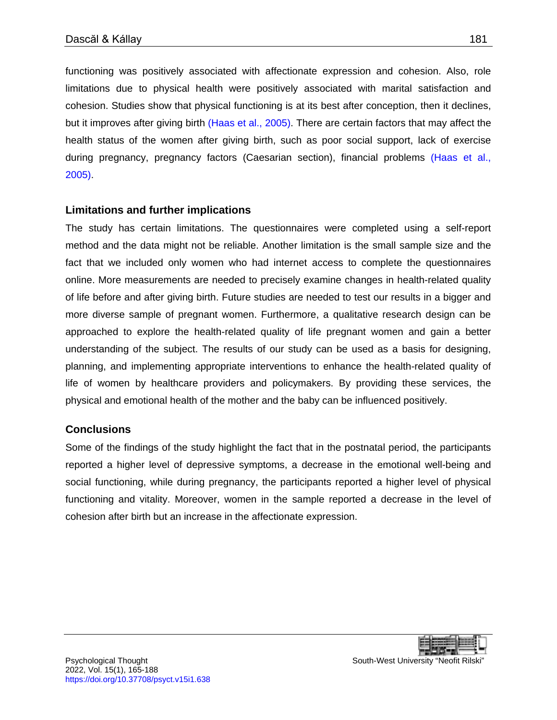functioning was positively associated with affectionate expression and cohesion. Also, role limitations due to physical health were positively associated with marital satisfaction and cohesion. Studies show that physical functioning is at its best after conception, then it declines, but it improves after giving birth [\(Haas et al., 2005\).](#page-18-7) There are certain factors that may affect the health status of the women after giving birth, such as poor social support, lack of exercise during pregnancy, pregnancy factors (Caesarian section), financial problems [\(Haas et al.,](#page-18-7)  2005).

#### **Limitations and further implications**

The study has certain limitations. The questionnaires were completed using a self-report method and the data might not be reliable. Another limitation is the small sample size and the fact that we included only women who had internet access to complete the questionnaires online. More measurements are needed to precisely examine changes in health-related quality of life before and after giving birth. Future studies are needed to test our results in a bigger and more diverse sample of pregnant women. Furthermore, a qualitative research design can be approached to explore the health-related quality of life pregnant women and gain a better understanding of the subject. The results of our study can be used as a basis for designing, planning, and implementing appropriate interventions to enhance the health-related quality of life of women by healthcare providers and policymakers. By providing these services, the physical and emotional health of the mother and the baby can be influenced positively.

#### <span id="page-16-0"></span>**Conclusions**

Some of the findings of the study highlight the fact that in the postnatal period, the participants reported a higher level of depressive symptoms, a decrease in the emotional well-being and social functioning, while during pregnancy, the participants reported a higher level of physical functioning and vitality. Moreover, women in the sample reported a decrease in the level of cohesion after birth but an increase in the affectionate expression.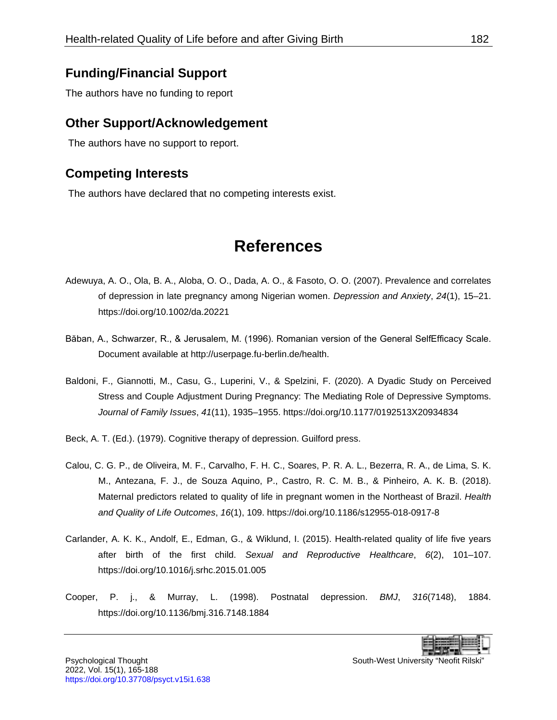### **Funding/Financial Support**

The authors have no funding to report

### **Other Support/Acknowledgement**

The authors have no support to report.

### **Competing Interests**

The authors have declared that no competing interests exist.

# **References**

- <span id="page-17-1"></span><span id="page-17-0"></span>Adewuya, A. O., Ola, B. A., Aloba, O. O., Dada, A. O., & Fasoto, O. O. (2007). Prevalence and correlates of depression in late pregnancy among Nigerian women. *Depression and Anxiety*, *24*(1), 15–21. <https://doi.org/10.1002/da.20221>
- <span id="page-17-4"></span>Băban, A., Schwarzer, R., & Jerusalem, M. (1996). Romanian version of the General SelfEfficacy Scale. Document available a[t http://userpage.fu-berlin.de/health.](http://userpage.fu-berlin.de/health)
- <span id="page-17-2"></span>Baldoni, F., Giannotti, M., Casu, G., Luperini, V., & Spelzini, F. (2020). A Dyadic Study on Perceived Stress and Couple Adjustment During Pregnancy: The Mediating Role of Depressive Symptoms. *Journal of Family Issues*, *41*(11), 1935–1955.<https://doi.org/10.1177/0192513X20934834>
- <span id="page-17-3"></span>Beck, A. T. (Ed.). (1979). Cognitive therapy of depression. Guilford press.
- <span id="page-17-6"></span>Calou, C. G. P., de Oliveira, M. F., Carvalho, F. H. C., Soares, P. R. A. L., Bezerra, R. A., de Lima, S. K. M., Antezana, F. J., de Souza Aquino, P., Castro, R. C. M. B., & Pinheiro, A. K. B. (2018). Maternal predictors related to quality of life in pregnant women in the Northeast of Brazil. *Health and Quality of Life Outcomes*, *16*(1), 109.<https://doi.org/10.1186/s12955-018-0917-8>
- Carlander, A. K. K., Andolf, E., Edman, G., & Wiklund, I. (2015). Health-related quality of life five years after birth of the first child. *Sexual and Reproductive Healthcare*, *6*(2), 101–107. <https://doi.org/10.1016/j.srhc.2015.01.005>
- <span id="page-17-5"></span>Cooper, P. j., & Murray, L. (1998). Postnatal depression. *BMJ*, *316*(7148), 1884. <https://doi.org/10.1136/bmj.316.7148.1884>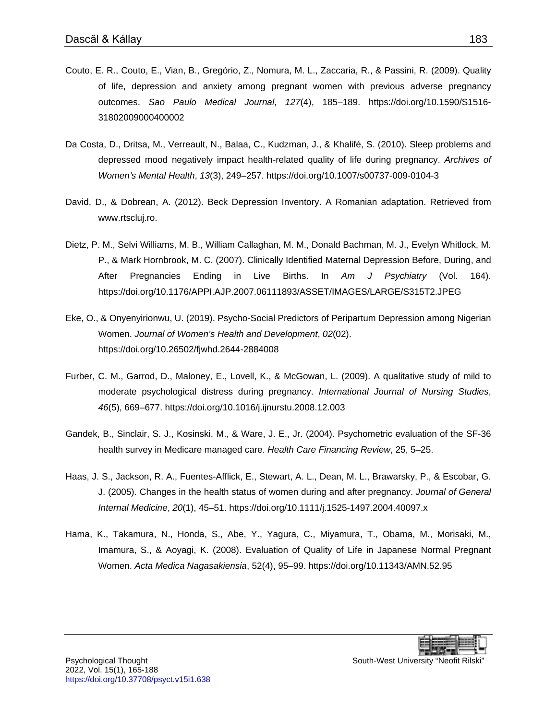- <span id="page-18-2"></span>Couto, E. R., Couto, E., Vian, B., Gregório, Z., Nomura, M. L., Zaccaria, R., & Passini, R. (2009). Quality of life, depression and anxiety among pregnant women with previous adverse pregnancy outcomes. *Sao Paulo Medical Journal*, *127*(4), 185–189. [https://doi.org/10.1590/S1516-](https://doi.org/10.1590/S1516-31802009000400002) [31802009000400002](https://doi.org/10.1590/S1516-31802009000400002)
- <span id="page-18-8"></span>Da Costa, D., Dritsa, M., Verreault, N., Balaa, C., Kudzman, J., & Khalifé, S. (2010). Sleep problems and depressed mood negatively impact health-related quality of life during pregnancy. *Archives of Women's Mental Health*, *13*(3), 249–257.<https://doi.org/10.1007/s00737-009-0104-3>
- <span id="page-18-4"></span>David, D., & Dobrean, A. (2012). Beck Depression Inventory. A Romanian adaptation. Retrieved from www.rtscluj.ro.
- <span id="page-18-6"></span>Dietz, P. M., Selvi Williams, M. B., William Callaghan, M. M., Donald Bachman, M. J., Evelyn Whitlock, M. P., & Mark Hornbrook, M. C. (2007). Clinically Identified Maternal Depression Before, During, and After Pregnancies Ending in Live Births. In *Am J Psychiatry* (Vol. 164). <https://doi.org/10.1176/APPI.AJP.2007.06111893/ASSET/IMAGES/LARGE/S315T2.JPEG>
- <span id="page-18-0"></span>Eke, O., & Onyenyirionwu, U. (2019). Psycho-Social Predictors of Peripartum Depression among Nigerian Women. *Journal of Women's Health and Development*, *02*(02). <https://doi.org/10.26502/fjwhd.2644-2884008>
- <span id="page-18-1"></span>Furber, C. M., Garrod, D., Maloney, E., Lovell, K., & McGowan, L. (2009). A qualitative study of mild to moderate psychological distress during pregnancy. *International Journal of Nursing Studies*, *46*(5), 669–677.<https://doi.org/10.1016/j.ijnurstu.2008.12.003>
- <span id="page-18-5"></span>Gandek, B., Sinclair, S. J., Kosinski, M., & Ware, J. E., Jr. (2004). Psychometric evaluation of the SF-36 health survey in Medicare managed care. *Health Care Financing Review*, 25, 5–25.
- <span id="page-18-7"></span>Haas, J. S., Jackson, R. A., Fuentes-Afflick, E., Stewart, A. L., Dean, M. L., Brawarsky, P., & Escobar, G. J. (2005). Changes in the health status of women during and after pregnancy. *Journal of General Internal Medicine*, *20*(1), 45–51.<https://doi.org/10.1111/j.1525-1497.2004.40097.x>
- <span id="page-18-3"></span>Hama, K., Takamura, N., Honda, S., Abe, Y., Yagura, C., Miyamura, T., Obama, M., Morisaki, M., Imamura, S., & Aoyagi, K. (2008). Evaluation of Quality of Life in Japanese Normal Pregnant Women. *Acta Medica Nagasakiensia*, 52(4), 95–99. <https://doi.org/10.11343/AMN.52.95>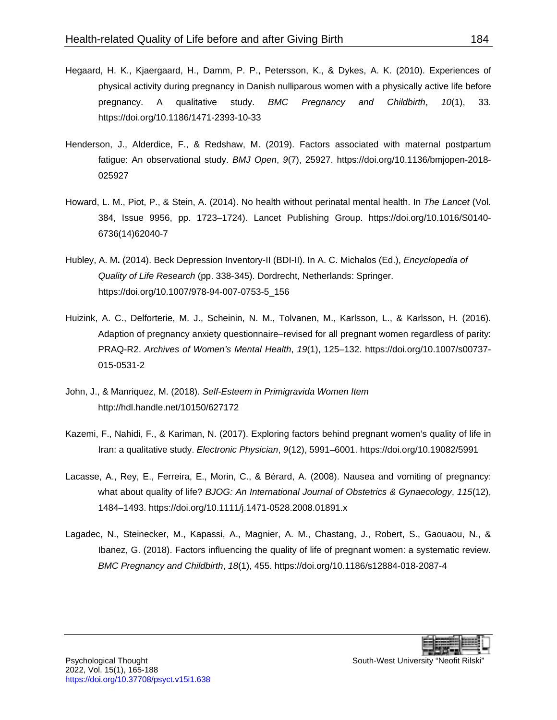- <span id="page-19-7"></span>Hegaard, H. K., Kjaergaard, H., Damm, P. P., Petersson, K., & Dykes, A. K. (2010). Experiences of physical activity during pregnancy in Danish nulliparous women with a physically active life before pregnancy. A qualitative study. *BMC Pregnancy and Childbirth*, *10*(1), 33. <https://doi.org/10.1186/1471-2393-10-33>
- <span id="page-19-8"></span>Henderson, J., Alderdice, F., & Redshaw, M. (2019). Factors associated with maternal postpartum fatigue: An observational study. *BMJ Open*, *9*(7), 25927. [https://doi.org/10.1136/bmjopen-2018-](https://doi.org/10.1136/bmjopen-2018-025927) [025927](https://doi.org/10.1136/bmjopen-2018-025927)
- <span id="page-19-2"></span>Howard, L. M., Piot, P., & Stein, A. (2014). No health without perinatal mental health. In *The Lancet* (Vol. 384, Issue 9956, pp. 1723–1724). Lancet Publishing Group. [https://doi.org/10.1016/S0140-](https://doi.org/10.1016/S0140-6736(14)62040-7) [6736\(14\)62040-7](https://doi.org/10.1016/S0140-6736(14)62040-7)
- <span id="page-19-4"></span>Hubley, A. M**.** (2014). Beck Depression Inventory-II (BDI-II). In A. C. Michalos (Ed.), *Encyclopedia of Quality of Life Research* (pp. 338-345). Dordrecht, Netherlands: Springer. [https://doi.org/10.1007/978-94-007-0753-5\\_156](https://doi.org/10.1007/978-94-007-0753-5_156)
- <span id="page-19-5"></span>Huizink, A. C., Delforterie, M. J., Scheinin, N. M., Tolvanen, M., Karlsson, L., & Karlsson, H. (2016). Adaption of pregnancy anxiety questionnaire–revised for all pregnant women regardless of parity: PRAQ-R2. *Archives of Women's Mental Health*, *19*(1), 125–132. [https://doi.org/10.1007/s00737-](https://doi.org/10.1007/s00737-015-0531-2) [015-0531-2](https://doi.org/10.1007/s00737-015-0531-2)
- <span id="page-19-1"></span>John, J., & Manriquez, M. (2018). *Self-Esteem in Primigravida Women Item*  <http://hdl.handle.net/10150/627172>
- <span id="page-19-3"></span>Kazemi, F., Nahidi, F., & Kariman, N. (2017). Exploring factors behind pregnant women's quality of life in Iran: a qualitative study. *Electronic Physician*, *9*(12), 5991–6001.<https://doi.org/10.19082/5991>
- <span id="page-19-6"></span>Lacasse, A., Rey, E., Ferreira, E., Morin, C., & Bérard, A. (2008). Nausea and vomiting of pregnancy: what about quality of life? *BJOG: An International Journal of Obstetrics & Gynaecology*, *115*(12), 1484–1493.<https://doi.org/10.1111/j.1471-0528.2008.01891.x>
- <span id="page-19-0"></span>Lagadec, N., Steinecker, M., Kapassi, A., Magnier, A. M., Chastang, J., Robert, S., Gaouaou, N., & Ibanez, G. (2018). Factors influencing the quality of life of pregnant women: a systematic review. *BMC Pregnancy and Childbirth*, *18*(1), 455.<https://doi.org/10.1186/s12884-018-2087-4>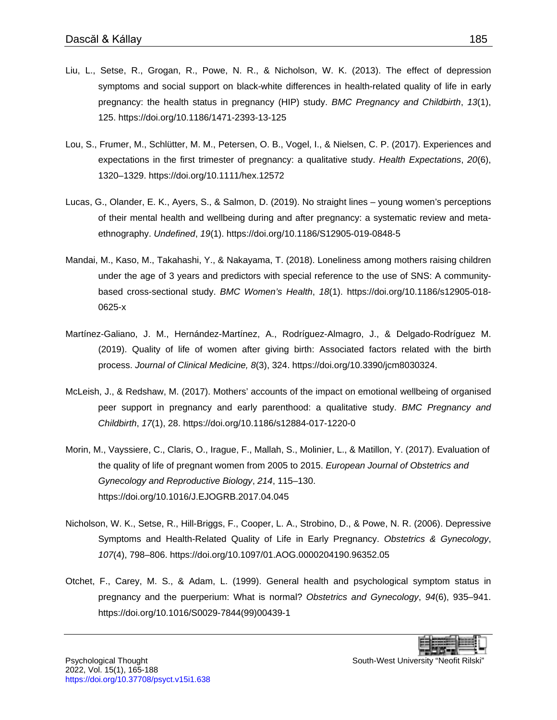- <span id="page-20-4"></span>Liu, L., Setse, R., Grogan, R., Powe, N. R., & Nicholson, W. K. (2013). The effect of depression symptoms and social support on black-white differences in health-related quality of life in early pregnancy: the health status in pregnancy (HIP) study. *BMC Pregnancy and Childbirth*, *13*(1), 125.<https://doi.org/10.1186/1471-2393-13-125>
- <span id="page-20-0"></span>Lou, S., Frumer, M., Schlütter, M. M., Petersen, O. B., Vogel, I., & Nielsen, C. P. (2017). Experiences and expectations in the first trimester of pregnancy: a qualitative study. *Health Expectations*, *20*(6), 1320–1329. <https://doi.org/10.1111/hex.12572>
- <span id="page-20-3"></span>Lucas, G., Olander, E. K., Ayers, S., & Salmon, D. (2019). No straight lines – young women's perceptions of their mental health and wellbeing during and after pregnancy: a systematic review and metaethnography. *Undefined*, *19*(1).<https://doi.org/10.1186/S12905-019-0848-5>
- <span id="page-20-2"></span>Mandai, M., Kaso, M., Takahashi, Y., & Nakayama, T. (2018). Loneliness among mothers raising children under the age of 3 years and predictors with special reference to the use of SNS: A communitybased cross-sectional study. *BMC Women's Health*, *18*(1). [https://doi.org/10.1186/s12905-018-](https://doi.org/10.1186/s12905-018-0625-x) [0625-x](https://doi.org/10.1186/s12905-018-0625-x)
- <span id="page-20-7"></span>Martínez-Galiano, J. M., Hernández-Martínez, A., Rodríguez-Almagro, J., & Delgado-Rodríguez M. (2019). Quality of life of women after giving birth: Associated factors related with the birth process. *Journal of Clinical Medicine, 8*(3), 324.<https://doi.org/10.3390/jcm8030324.>
- <span id="page-20-1"></span>McLeish, J., & Redshaw, M. (2017). Mothers' accounts of the impact on emotional wellbeing of organised peer support in pregnancy and early parenthood: a qualitative study. *BMC Pregnancy and Childbirth*, *17*(1), 28.<https://doi.org/10.1186/s12884-017-1220-0>
- <span id="page-20-6"></span>Morin, M., Vayssiere, C., Claris, O., Irague, F., Mallah, S., Molinier, L., & Matillon, Y. (2017). Evaluation of the quality of life of pregnant women from 2005 to 2015. *European Journal of Obstetrics and Gynecology and Reproductive Biology*, *214*, 115–130. <https://doi.org/10.1016/J.EJOGRB.2017.04.045>
- <span id="page-20-5"></span>Nicholson, W. K., Setse, R., Hill-Briggs, F., Cooper, L. A., Strobino, D., & Powe, N. R. (2006). Depressive Symptoms and Health-Related Quality of Life in Early Pregnancy. *Obstetrics & Gynecology*, *107*(4), 798–806.<https://doi.org/10.1097/01.AOG.0000204190.96352.05>
- <span id="page-20-8"></span>Otchet, F., Carey, M. S., & Adam, L. (1999). General health and psychological symptom status in pregnancy and the puerperium: What is normal? *Obstetrics and Gynecology*, *94*(6), 935–941. [https://doi.org/10.1016/S0029-7844\(99\)00439-1](https://doi.org/10.1016/S0029-7844(99)00439-1)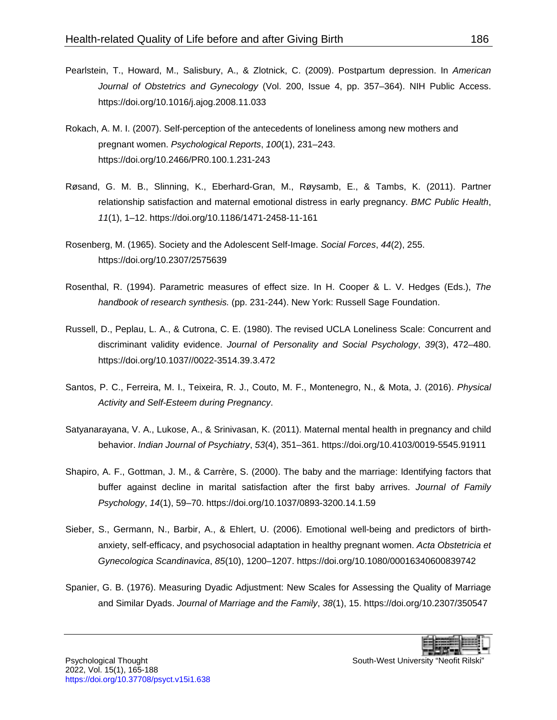- <span id="page-21-7"></span>Pearlstein, T., Howard, M., Salisbury, A., & Zlotnick, C. (2009). Postpartum depression. In *American Journal of Obstetrics and Gynecology* (Vol. 200, Issue 4, pp. 357–364). NIH Public Access. <https://doi.org/10.1016/j.ajog.2008.11.033>
- <span id="page-21-2"></span>Rokach, A. M. I. (2007). Self-perception of the antecedents of loneliness among new mothers and pregnant women. *Psychological Reports*, *100*(1), 231–243. <https://doi.org/10.2466/PR0.100.1.231-243>
- <span id="page-21-0"></span>Røsand, G. M. B., Slinning, K., Eberhard-Gran, M., Røysamb, E., & Tambs, K. (2011). Partner relationship satisfaction and maternal emotional distress in early pregnancy. *BMC Public Health*, *11*(1), 1–12.<https://doi.org/10.1186/1471-2458-11-161>
- <span id="page-21-5"></span>Rosenberg, M. (1965). Society and the Adolescent Self-Image. *Social Forces*, *44*(2), 255. <https://doi.org/10.2307/2575639>
- Rosenthal, R. (1994). Parametric measures of effect size. In H. Cooper & L. V. Hedges (Eds.), *The handbook of research synthesis.* (pp. 231-244). New York: Russell Sage Foundation.
- <span id="page-21-6"></span>Russell, D., Peplau, L. A., & Cutrona, C. E. (1980). The revised UCLA Loneliness Scale: Concurrent and discriminant validity evidence. *Journal of Personality and Social Psychology*, *39*(3), 472–480. [https://doi.org/10.1037//0022-3514.39.3.472](https://doi.org/10.1037/0022-3514.39.3.472)
- <span id="page-21-1"></span>Santos, P. C., Ferreira, M. I., Teixeira, R. J., Couto, M. F., Montenegro, N., & Mota, J. (2016). *Physical Activity and Self-Esteem during Pregnancy*.
- <span id="page-21-3"></span>Satyanarayana, V. A., Lukose, A., & Srinivasan, K. (2011). Maternal mental health in pregnancy and child behavior. *Indian Journal of Psychiatry*, *53*(4), 351–361.<https://doi.org/10.4103/0019-5545.91911>
- <span id="page-21-8"></span>Shapiro, A. F., Gottman, J. M., & Carrère, S. (2000). The baby and the marriage: Identifying factors that buffer against decline in marital satisfaction after the first baby arrives. *Journal of Family Psychology*, *14*(1), 59–70.<https://doi.org/10.1037/0893-3200.14.1.59>
- <span id="page-21-9"></span>Sieber, S., Germann, N., Barbir, A., & Ehlert, U. (2006). Emotional well-being and predictors of birthanxiety, self-efficacy, and psychosocial adaptation in healthy pregnant women. *Acta Obstetricia et Gynecologica Scandinavica*, *85*(10), 1200–1207.<https://doi.org/10.1080/00016340600839742>
- <span id="page-21-4"></span>Spanier, G. B. (1976). Measuring Dyadic Adjustment: New Scales for Assessing the Quality of Marriage and Similar Dyads. *Journal of Marriage and the Family*, *38*(1), 15.<https://doi.org/10.2307/350547>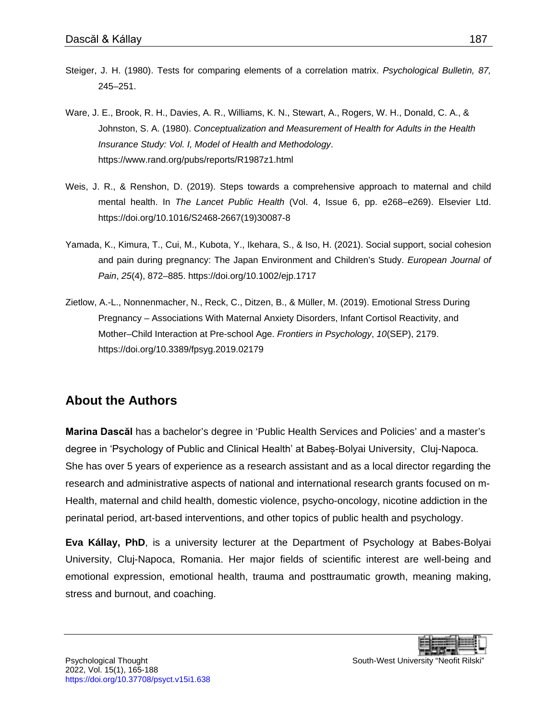- Steiger, J. H. (1980). Tests for comparing elements of a correlation matrix. *Psychological Bulletin, 87,*  245–251.
- <span id="page-22-2"></span>Ware, J. E., Brook, R. H., Davies, A. R., Williams, K. N., Stewart, A., Rogers, W. H., Donald, C. A., & Johnston, S. A. (1980). *Conceptualization and Measurement of Health for Adults in the Health Insurance Study: Vol. I, Model of Health and Methodology*. <https://www.rand.org/pubs/reports/R1987z1.html>
- <span id="page-22-0"></span>Weis, J. R., & Renshon, D. (2019). Steps towards a comprehensive approach to maternal and child mental health. In *The Lancet Public Health* (Vol. 4, Issue 6, pp. e268–e269). Elsevier Ltd. [https://doi.org/10.1016/S2468-2667\(19\)30087-8](https://doi.org/10.1016/S2468-2667(19)30087-8)
- <span id="page-22-3"></span>Yamada, K., Kimura, T., Cui, M., Kubota, Y., Ikehara, S., & Iso, H. (2021). Social support, social cohesion and pain during pregnancy: The Japan Environment and Children's Study. *European Journal of Pain*, *25*(4), 872–885.<https://doi.org/10.1002/ejp.1717>
- <span id="page-22-1"></span>Zietlow, A.-L., Nonnenmacher, N., Reck, C., Ditzen, B., & Müller, M. (2019). Emotional Stress During Pregnancy – Associations With Maternal Anxiety Disorders, Infant Cortisol Reactivity, and Mother–Child Interaction at Pre-school Age. *Frontiers in Psychology*, *10*(SEP), 2179. <https://doi.org/10.3389/fpsyg.2019.02179>

### **About the Authors**

**Marina Dascăl** has a bachelor's degree in 'Public Health Services and Policies' and a master's degree in 'Psychology of Public and Clinical Health' at Babeș-Bolyai University, Cluj-Napoca. She has over 5 years of experience as a research assistant and as a local director regarding the research and administrative aspects of national and international research grants focused on m-Health, maternal and child health, domestic violence, psycho-oncology, nicotine addiction in the perinatal period, art-based interventions, and other topics of public health and psychology.

**Eva Kállay, PhD**, is a university lecturer at the Department of Psychology at Babes-Bolyai University, Cluj-Napoca, Romania. Her major fields of scientific interest are well-being and emotional expression, emotional health, trauma and posttraumatic growth, meaning making, stress and burnout, and coaching.